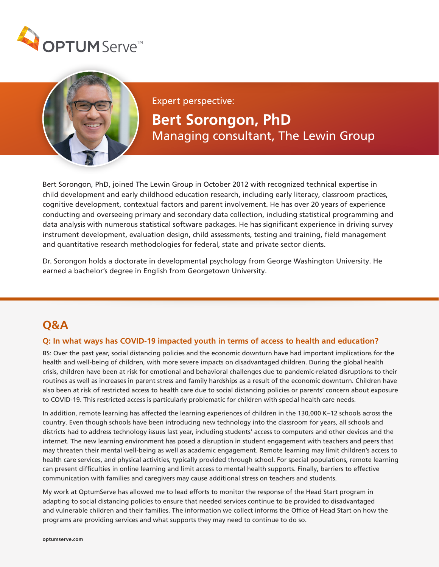



Expert perspective:

# **Bert Sorongon, PhD**  Managing consultant, The Lewin Group

Bert Sorongon, PhD, joined The Lewin Group in October 2012 with recognized technical expertise in child development and early childhood education research, including early literacy, classroom practices, cognitive development, contextual factors and parent involvement. He has over 20 years of experience conducting and overseeing primary and secondary data collection, including statistical programming and data analysis with numerous statistical software packages. He has significant experience in driving survey instrument development, evaluation design, child assessments, testing and training, field management and quantitative research methodologies for federal, state and private sector clients.

Dr. Sorongon holds a doctorate in developmental psychology from George Washington University. He earned a bachelor's degree in English from Georgetown University.

## **Q&A**

#### **Q: In what ways has COVID-19 impacted youth in terms of access to health and education?**

BS: Over the past year, social distancing policies and the economic downturn have had important implications for the health and well-being of children, with more severe impacts on disadvantaged children. During the global health crisis, children have been at risk for emotional and behavioral challenges due to pandemic-related disruptions to their routines as well as increases in parent stress and family hardships as a result of the economic downturn. Children have also been at risk of restricted access to health care due to social distancing policies or parents' concern about exposure to COVID-19. This restricted access is particularly problematic for children with special health care needs.

In addition, remote learning has affected the learning experiences of children in the 130,000 K–12 schools across the country. Even though schools have been introducing new technology into the classroom for years, all schools and districts had to address technology issues last year, including students' access to computers and other devices and the internet. The new learning environment has posed a disruption in student engagement with teachers and peers that may threaten their mental well-being as well as academic engagement. Remote learning may limit children's access to health care services, and physical activities, typically provided through school. For special populations, remote learning can present difficulties in online learning and limit access to mental health supports. Finally, barriers to effective communication with families and caregivers may cause additional stress on teachers and students.

My work at OptumServe has allowed me to lead efforts to monitor the response of the Head Start program in adapting to social distancing policies to ensure that needed services continue to be provided to disadvantaged and vulnerable children and their families. The information we collect informs the Office of Head Start on how the programs are providing services and what supports they may need to continue to do so.